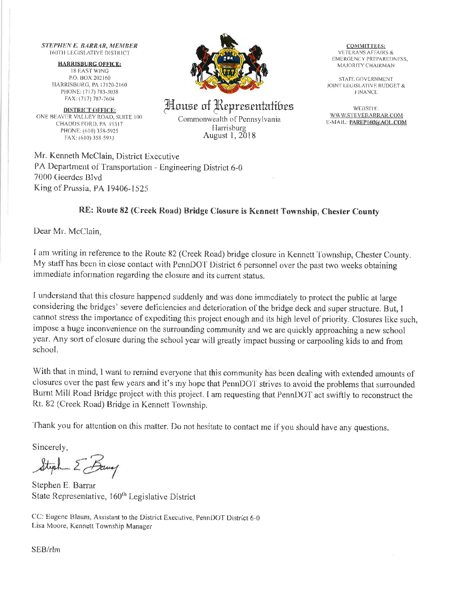**STEPHEN E. BARRAR, MEMBER 160TH LEGISLATIVE DISTRICT** 

**HARRISBURG OFFICE: 18 EAST WING** P.O. BOX 202160 HARRISBURG, PA 17120-2160 PHONE: (717) 783-3038 FAX: (717) 787-7604

**DISTRICT OFFICE:** ONE BEAVER VALLEY ROAD, SUITE 100 CHADDS FORD, PA 19317 PHONE: (610) 358-5925 FAX: (610) 358-5933



House of Representatibes

Commonwealth of Pennsylvania Harrisburg August 1, 2018

**COMMITTEES: VETERANS AFFAIRS &** EMERGENCY PREPAREDNESS, MAJORITY CHAIRMAN

**STATE GOVERNMENT** JOINT LEGISLATIVE BUDGET & **FINANCE** 

WEBSITE: WWW.STEVEBARRAR.COM E-MAIL: PAREP160@AOL.COM

Mr. Kenneth McClain, District Executive PA Department of Transportation - Engineering District 6-0 7000 Geerdes Blyd King of Prussia, PA 19406-1525

## RE: Route 82 (Creek Road) Bridge Closure is Kennett Township, Chester County

Dear Mr. McClain.

I am writing in reference to the Route 82 (Creek Road) bridge closure in Kennett Township, Chester County. My staff has been in close contact with PennDOT District 6 personnel over the past two weeks obtaining immediate information regarding the closure and its current status.

I understand that this closure happened suddenly and was done immediately to protect the public at large considering the bridges' severe deficiencies and deterioration of the bridge deck and super structure. But, I cannot stress the importance of expediting this project enough and its high level of priority. Closures like such, impose a huge inconvenience on the surrounding community and we are quickly approaching a new school year. Any sort of closure during the school year will greatly impact bussing or carpooling kids to and from school.

With that in mind, I want to remind everyone that this community has been dealing with extended amounts of closures over the past few years and it's my hope that PennDOT strives to avoid the problems that surrounded Burnt Mill Road Bridge project with this project. I am requesting that PennDOT act swiftly to reconstruct the Rt. 82 (Creek Road) Bridge in Kennett Township.

Thank you for attention on this matter. Do not hesitate to contact me if you should have any questions.

Sincerely.

Steph E Bang

Stephen E. Barrar State Representative, 160<sup>th</sup> Legislative District

CC: Eugene Blaum, Assistant to the District Executive, PennDOT District 6-0 Lisa Moore, Kennett Township Manager

SEB/rlm